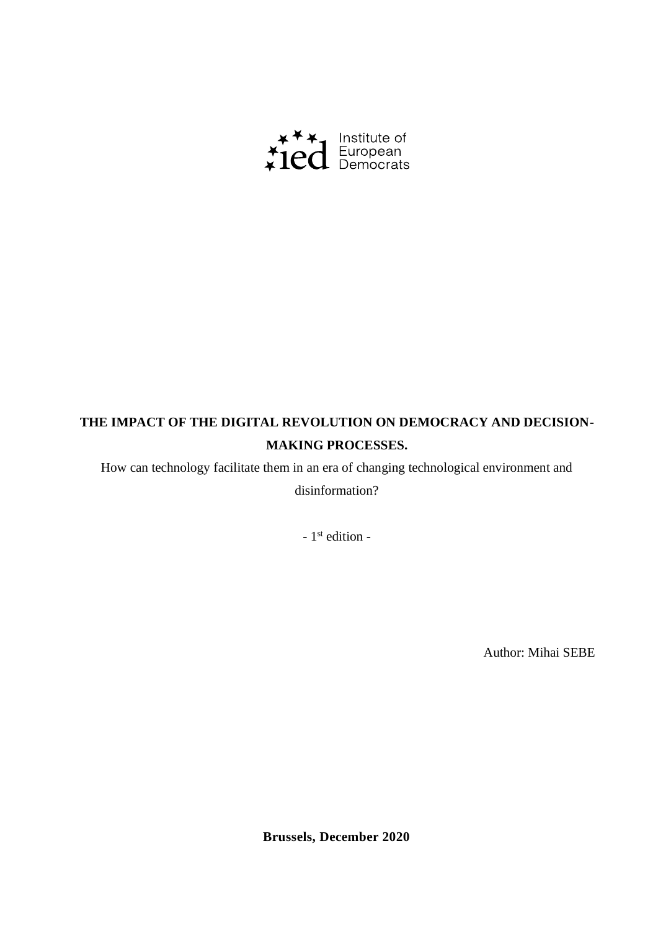

# **THE IMPACT OF THE DIGITAL REVOLUTION ON DEMOCRACY AND DECISION-MAKING PROCESSES.**

How can technology facilitate them in an era of changing technological environment and disinformation?

- 1<sup>st</sup> edition -

Author: Mihai SEBE

**Brussels, December 2020**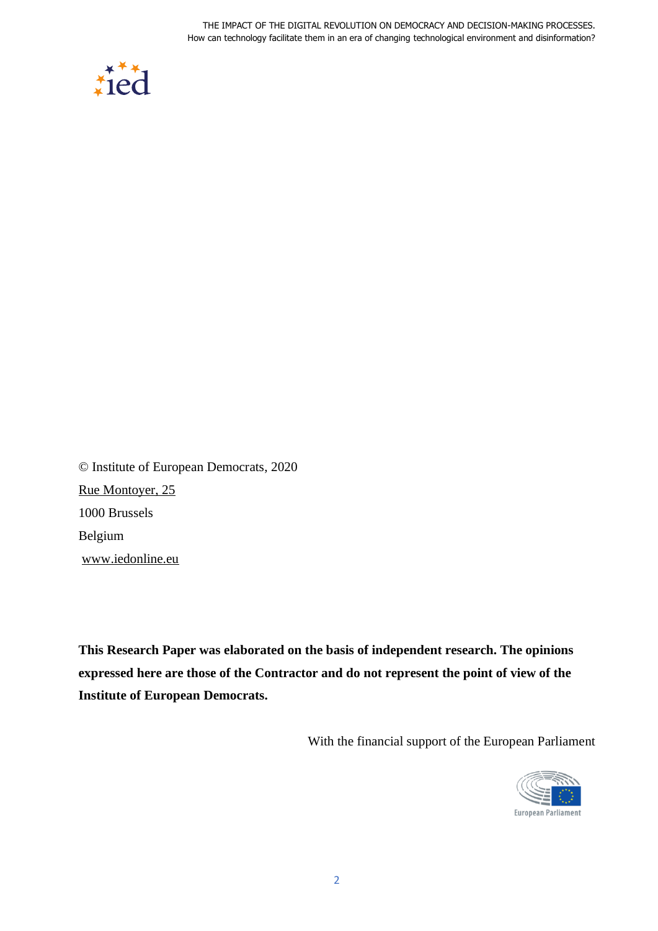

© Institute of European Democrats, 2020 [Rue](https://goo.gl/maps/r2j58) Montoyer, 25 1000 Brussels Belgium [www.iedonline.eu](http://www.iedonline.eu/)

**This Research Paper was elaborated on the basis of independent research. The opinions expressed here are those of the Contractor and do not represent the point of view of the Institute of European Democrats.** 

With the financial support of the European Parliament

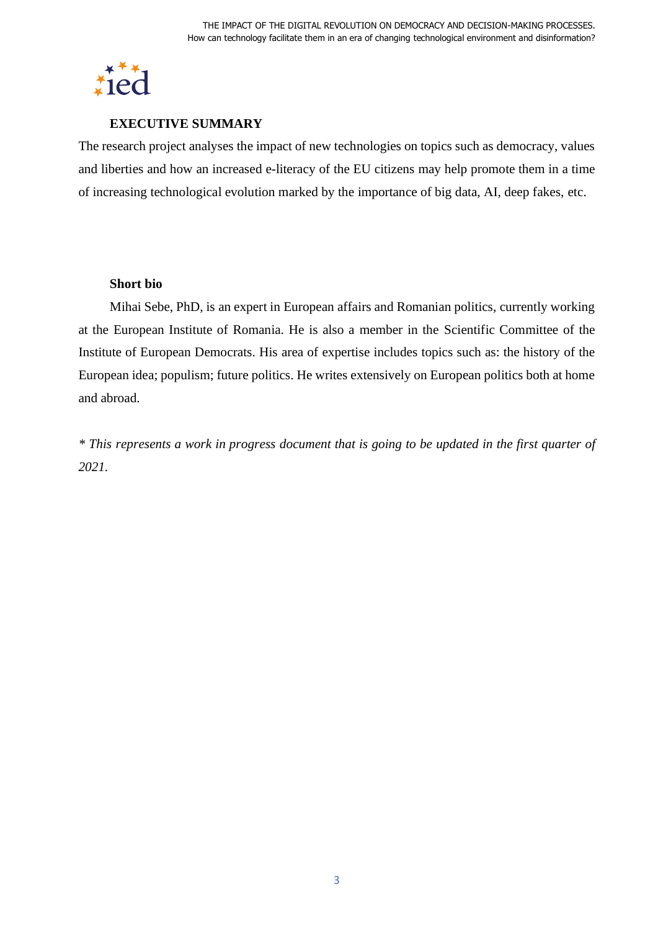

#### **EXECUTIVE SUMMARY**

The research project analyses the impact of new technologies on topics such as democracy, values and liberties and how an increased e-literacy of the EU citizens may help promote them in a time of increasing technological evolution marked by the importance of big data, AI, deep fakes, etc.

#### **Short bio**

Mihai Sebe, PhD, is an expert in European affairs and Romanian politics, currently working at the European Institute of Romania. He is also a member in the Scientific Committee of the Institute of European Democrats. His area of expertise includes topics such as: the history of the European idea; populism; future politics. He writes extensively on European politics both at home and abroad.

*\* This represents a work in progress document that is going to be updated in the first quarter of 2021.*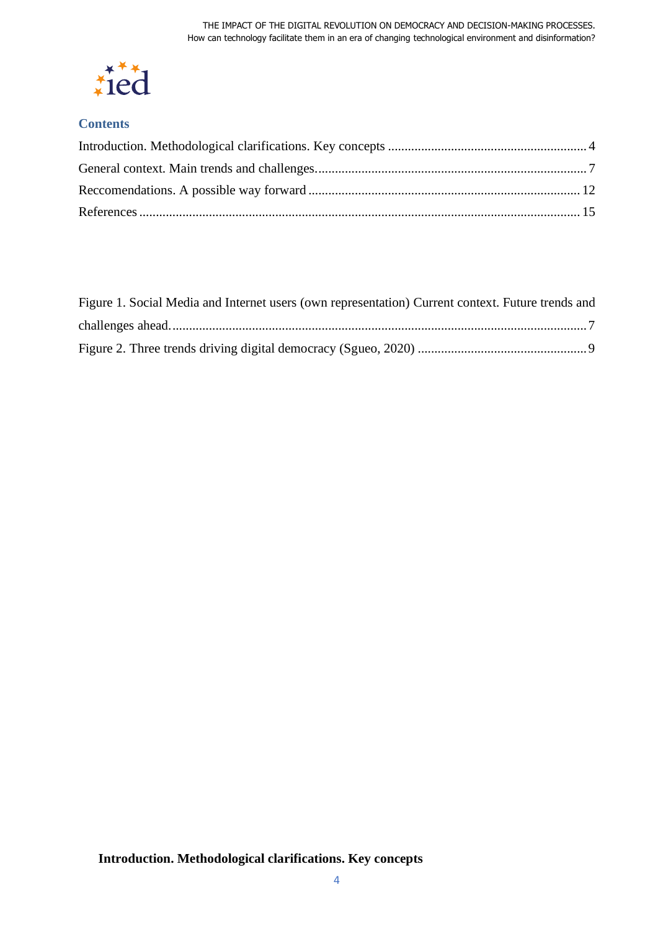

# **Contents**

<span id="page-3-0"></span>

| Figure 1. Social Media and Internet users (own representation) Current context. Future trends and |  |
|---------------------------------------------------------------------------------------------------|--|
|                                                                                                   |  |
|                                                                                                   |  |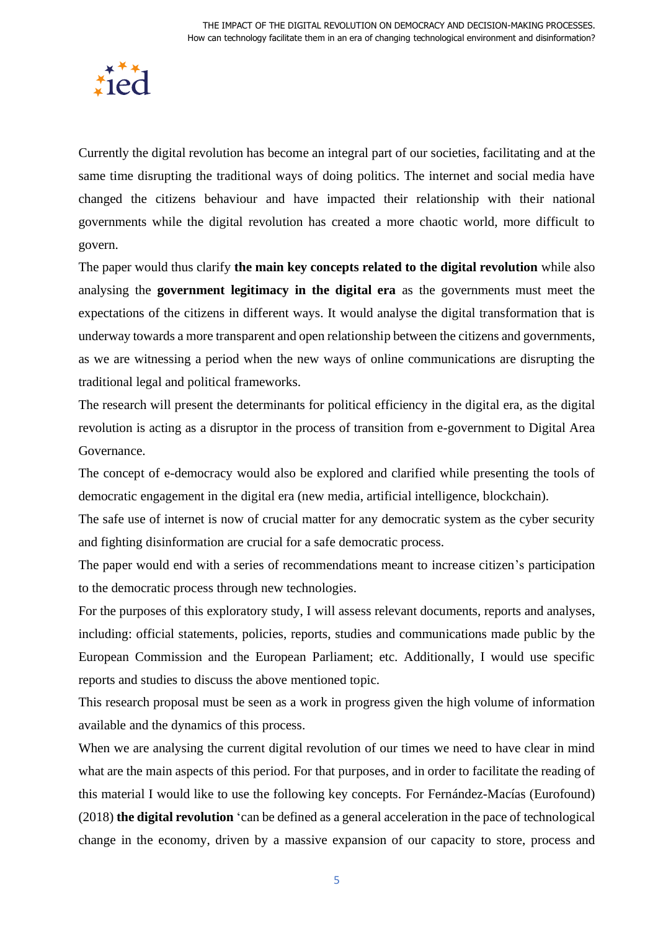

Currently the digital revolution has become an integral part of our societies, facilitating and at the same time disrupting the traditional ways of doing politics. The internet and social media have changed the citizens behaviour and have impacted their relationship with their national governments while the digital revolution has created a more chaotic world, more difficult to govern.

The paper would thus clarify **the main key concepts related to the digital revolution** while also analysing the **government legitimacy in the digital era** as the governments must meet the expectations of the citizens in different ways. It would analyse the digital transformation that is underway towards a more transparent and open relationship between the citizens and governments, as we are witnessing a period when the new ways of online communications are disrupting the traditional legal and political frameworks.

The research will present the determinants for political efficiency in the digital era, as the digital revolution is acting as a disruptor in the process of transition from e-government to Digital Area Governance.

The concept of e-democracy would also be explored and clarified while presenting the tools of democratic engagement in the digital era (new media, artificial intelligence, blockchain).

The safe use of internet is now of crucial matter for any democratic system as the cyber security and fighting disinformation are crucial for a safe democratic process.

The paper would end with a series of recommendations meant to increase citizen's participation to the democratic process through new technologies.

For the purposes of this exploratory study, I will assess relevant documents, reports and analyses, including: official statements, policies, reports, studies and communications made public by the European Commission and the European Parliament; etc. Additionally, I would use specific reports and studies to discuss the above mentioned topic.

This research proposal must be seen as a work in progress given the high volume of information available and the dynamics of this process.

When we are analysing the current digital revolution of our times we need to have clear in mind what are the main aspects of this period. For that purposes, and in order to facilitate the reading of this material I would like to use the following key concepts. For Fernández-Macías (Eurofound) (2018) **the digital revolution** 'can be defined as a general acceleration in the pace of technological change in the economy, driven by a massive expansion of our capacity to store, process and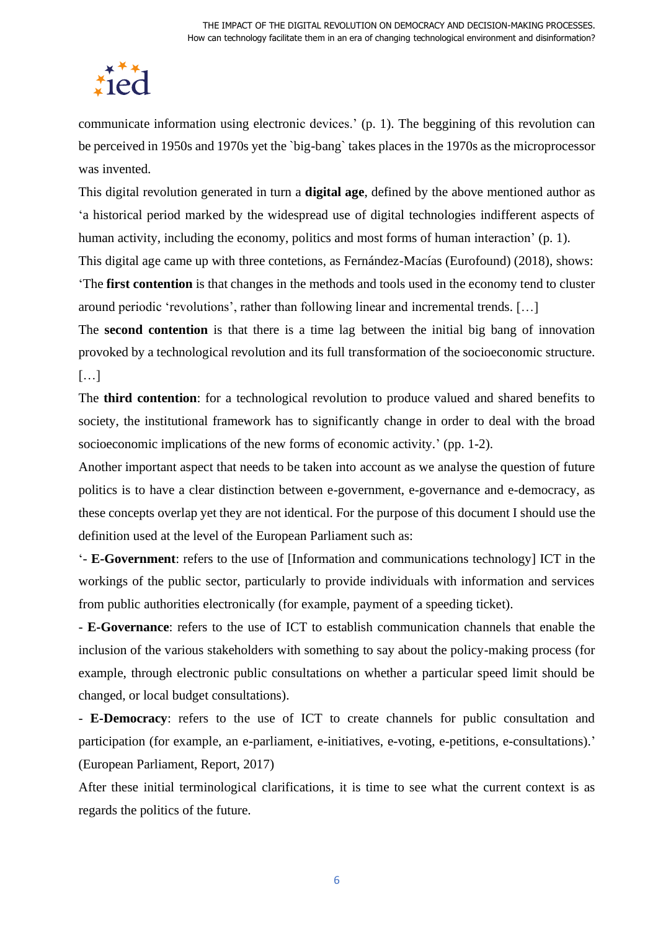# fiec

communicate information using electronic devices.' (p. 1). The beggining of this revolution can be perceived in 1950s and 1970s yet the `big-bang` takes places in the 1970s as the microprocessor was invented.

This digital revolution generated in turn a **digital age**, defined by the above mentioned author as 'a historical period marked by the widespread use of digital technologies indifferent aspects of human activity, including the economy, politics and most forms of human interaction' (p. 1).

This digital age came up with three contetions, as Fernández-Macías (Eurofound) (2018), shows: 'The **first contention** is that changes in the methods and tools used in the economy tend to cluster around periodic 'revolutions', rather than following linear and incremental trends. […]

The **second contention** is that there is a time lag between the initial big bang of innovation provoked by a technological revolution and its full transformation of the socioeconomic structure. […]

The **third contention**: for a technological revolution to produce valued and shared benefits to society, the institutional framework has to significantly change in order to deal with the broad socioeconomic implications of the new forms of economic activity.' (pp. 1-2).

Another important aspect that needs to be taken into account as we analyse the question of future politics is to have a clear distinction between e-government, e-governance and e-democracy, as these concepts overlap yet they are not identical. For the purpose of this document I should use the definition used at the level of the European Parliament such as:

'- **E-Government**: refers to the use of [Information and communications technology] ICT in the workings of the public sector, particularly to provide individuals with information and services from public authorities electronically (for example, payment of a speeding ticket).

- **E-Governance**: refers to the use of ICT to establish communication channels that enable the inclusion of the various stakeholders with something to say about the policy-making process (for example, through electronic public consultations on whether a particular speed limit should be changed, or local budget consultations).

- **E-Democracy**: refers to the use of ICT to create channels for public consultation and participation (for example, an e-parliament, e-initiatives, e-voting, e-petitions, e-consultations).' (European Parliament, Report, 2017)

After these initial terminological clarifications, it is time to see what the current context is as regards the politics of the future.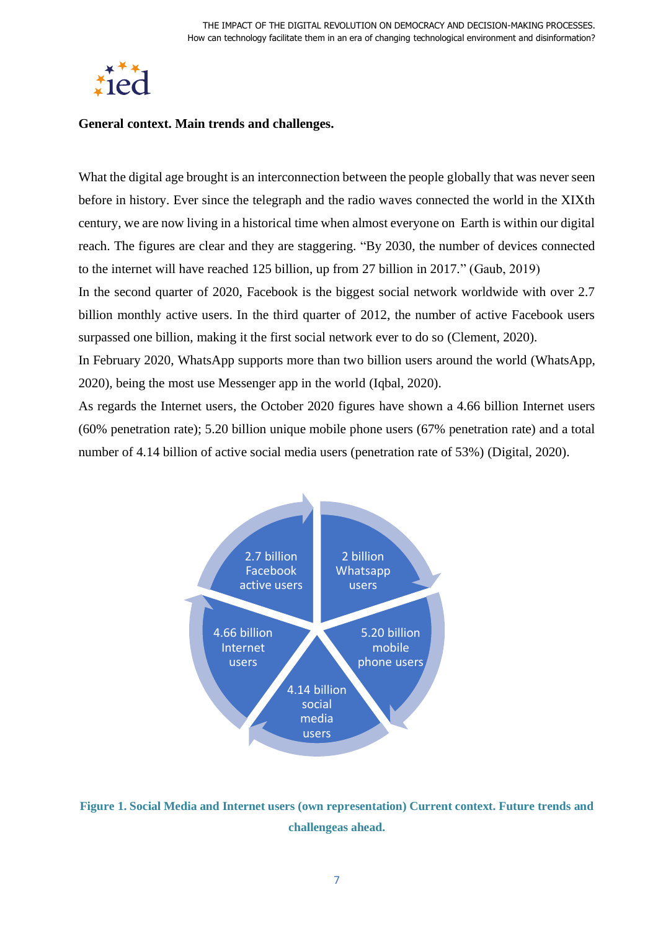

#### <span id="page-6-0"></span>**General context. Main trends and challenges.**

What the digital age brought is an interconnection between the people globally that was never seen before in history. Ever since the telegraph and the radio waves connected the world in the XIXth century, we are now living in a historical time when almost everyone on Earth is within our digital reach. The figures are clear and they are staggering. "By 2030, the number of devices connected to the internet will have reached 125 billion, up from 27 billion in 2017." (Gaub, 2019)

In the second quarter of 2020, Facebook is the biggest social network worldwide with over 2.7 billion monthly active users. In the third quarter of 2012, the number of active Facebook users surpassed one billion, making it the first social network ever to do so (Clement, 2020).

In February 2020, WhatsApp supports more than two billion users around the world (WhatsApp, 2020), being the most use Messenger app in the world (Iqbal, 2020).

As regards the Internet users, the October 2020 figures have shown a 4.66 billion Internet users (60% penetration rate); 5.20 billion unique mobile phone users (67% penetration rate) and a total number of 4.14 billion of active social media users (penetration rate of 53%) (Digital, 2020).



<span id="page-6-1"></span>**Figure 1. Social Media and Internet users (own representation) Current context. Future trends and challengeas ahead.**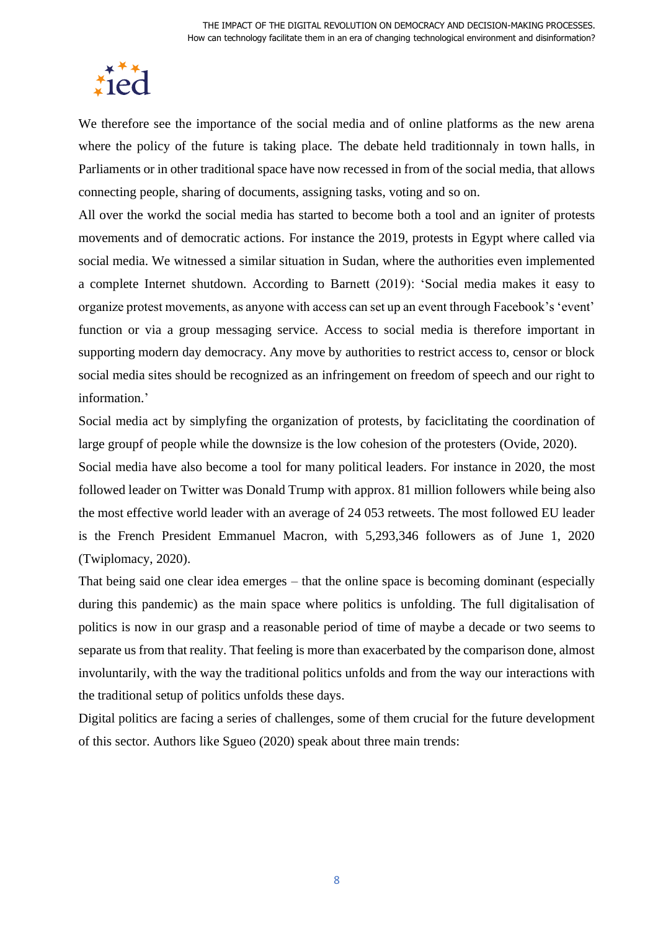

We therefore see the importance of the social media and of online platforms as the new arena where the policy of the future is taking place. The debate held traditionnaly in town halls, in Parliaments or in other traditional space have now recessed in from of the social media, that allows connecting people, sharing of documents, assigning tasks, voting and so on.

All over the workd the social media has started to become both a tool and an igniter of protests movements and of democratic actions. For instance the 2019, protests in Egypt where called via social media. We witnessed a similar situation in Sudan, where the authorities even implemented a complete Internet shutdown. According to Barnett (2019): 'Social media makes it easy to organize protest movements, as anyone with access can set up an event through Facebook's 'event' function or via a group messaging service. Access to social media is therefore important in supporting modern day democracy. Any move by authorities to restrict access to, censor or block social media sites should be recognized as an infringement on freedom of speech and our right to information.'

Social media act by simplyfing the organization of protests, by faciclitating the coordination of large groupf of people while the downsize is the low cohesion of the protesters (Ovide, 2020).

Social media have also become a tool for many political leaders. For instance in 2020, the most followed leader on Twitter was Donald Trump with approx. 81 million followers while being also the most effective world leader with an average of 24 053 retweets. The most followed EU leader is the French President Emmanuel Macron, with 5,293,346 followers as of June 1, 2020 (Twiplomacy, 2020).

That being said one clear idea emerges – that the online space is becoming dominant (especially during this pandemic) as the main space where politics is unfolding. The full digitalisation of politics is now in our grasp and a reasonable period of time of maybe a decade or two seems to separate us from that reality. That feeling is more than exacerbated by the comparison done, almost involuntarily, with the way the traditional politics unfolds and from the way our interactions with the traditional setup of politics unfolds these days.

Digital politics are facing a series of challenges, some of them crucial for the future development of this sector. Authors like Sgueo (2020) speak about three main trends: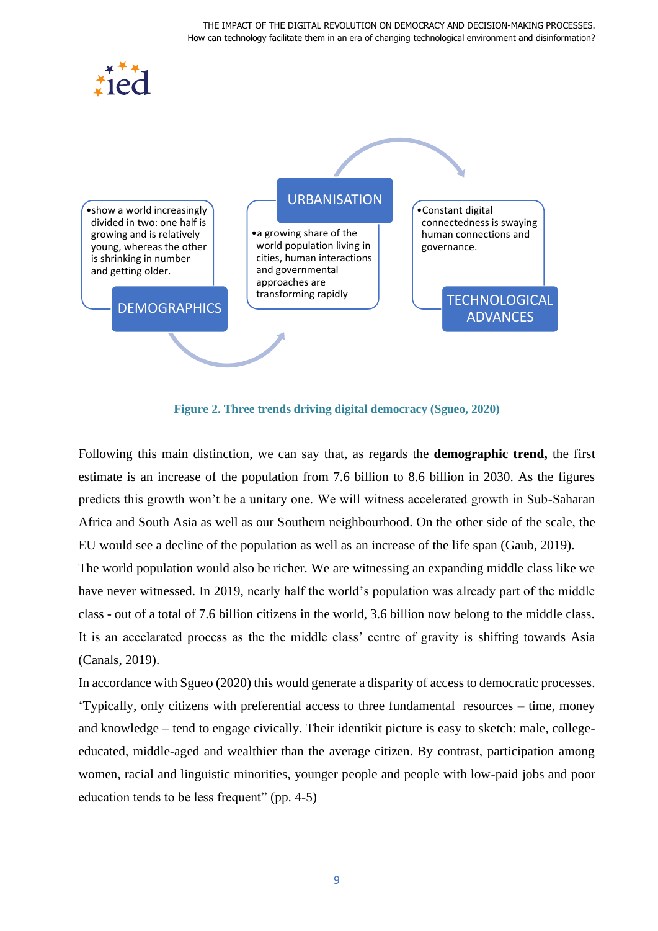

**Figure 2. Three trends driving digital democracy (Sgueo, 2020)**

<span id="page-8-0"></span>Following this main distinction, we can say that, as regards the **demographic trend,** the first estimate is an increase of the population from 7.6 billion to 8.6 billion in 2030. As the figures predicts this growth won't be a unitary one. We will witness accelerated growth in Sub-Saharan Africa and South Asia as well as our Southern neighbourhood. On the other side of the scale, the EU would see a decline of the population as well as an increase of the life span (Gaub, 2019).

The world population would also be richer. We are witnessing an expanding middle class like we have never witnessed. In 2019, nearly half the world's population was already part of the middle class - out of a total of 7.6 billion citizens in the world, 3.6 billion now belong to the middle class. It is an accelarated process as the the middle class' centre of gravity is shifting towards Asia (Canals, 2019).

In accordance with Sgueo (2020) this would generate a disparity of access to democratic processes. 'Typically, only citizens with preferential access to three fundamental resources – time, money and knowledge – tend to engage civically. Their identikit picture is easy to sketch: male, collegeeducated, middle-aged and wealthier than the average citizen. By contrast, participation among women, racial and linguistic minorities, younger people and people with low-paid jobs and poor education tends to be less frequent" (pp. 4-5)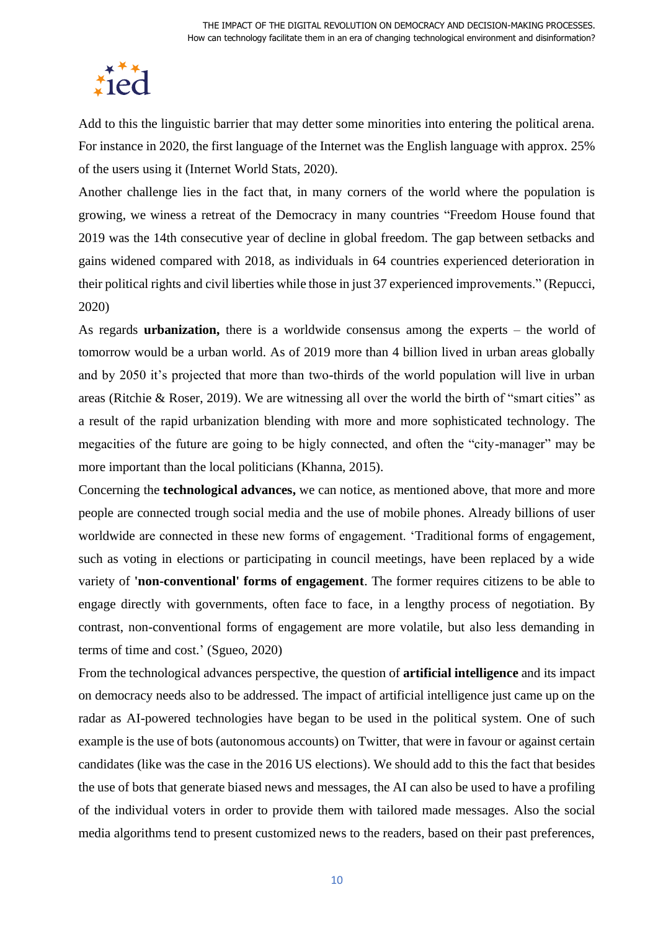

Add to this the linguistic barrier that may detter some minorities into entering the political arena. For instance in 2020, the first language of the Internet was the English language with approx. 25% of the users using it (Internet World Stats, 2020).

Another challenge lies in the fact that, in many corners of the world where the population is growing, we winess a retreat of the Democracy in many countries "Freedom House found that 2019 was the 14th consecutive year of decline in global freedom. The gap between setbacks and gains widened compared with 2018, as individuals in 64 countries experienced deterioration in their political rights and civil liberties while those in just 37 experienced improvements." (Repucci, 2020)

As regards **urbanization,** there is a worldwide consensus among the experts – the world of tomorrow would be a urban world. As of 2019 more than 4 billion lived in urban areas globally and by 2050 it's projected that more than two-thirds of the world population will live in urban areas (Ritchie & Roser, 2019). We are witnessing all over the world the birth of "smart cities" as a result of the rapid urbanization blending with more and more sophisticated technology. The megacities of the future are going to be higly connected, and often the "city-manager" may be more important than the local politicians (Khanna, 2015).

Concerning the **technological advances,** we can notice, as mentioned above, that more and more people are connected trough social media and the use of mobile phones. Already billions of user worldwide are connected in these new forms of engagement. 'Traditional forms of engagement, such as voting in elections or participating in council meetings, have been replaced by a wide variety of **'non-conventional' forms of engagement**. The former requires citizens to be able to engage directly with governments, often face to face, in a lengthy process of negotiation. By contrast, non-conventional forms of engagement are more volatile, but also less demanding in terms of time and cost.' (Sgueo, 2020)

From the technological advances perspective, the question of **artificial intelligence** and its impact on democracy needs also to be addressed. The impact of artificial intelligence just came up on the radar as AI-powered technologies have began to be used in the political system. One of such example is the use of bots (autonomous accounts) on Twitter, that were in favour or against certain candidates (like was the case in the 2016 US elections). We should add to this the fact that besides the use of bots that generate biased news and messages, the AI can also be used to have a profiling of the individual voters in order to provide them with tailored made messages. Also the social media algorithms tend to present customized news to the readers, based on their past preferences,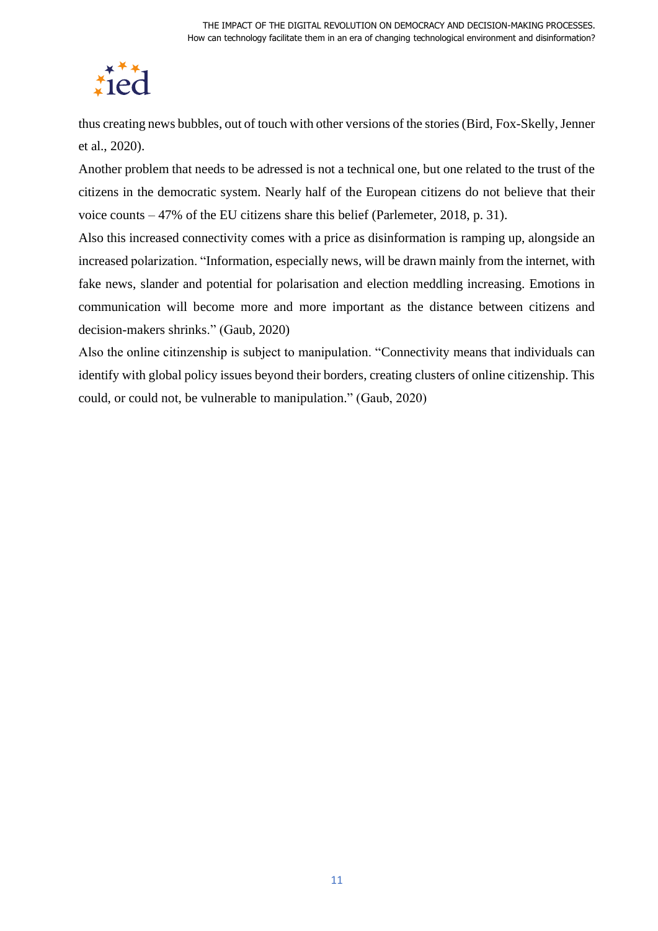

thus creating news bubbles, out of touch with other versions of the stories (Bird, Fox-Skelly, Jenner et al., 2020).

Another problem that needs to be adressed is not a technical one, but one related to the trust of the citizens in the democratic system. Nearly half of the European citizens do not believe that their voice counts – 47% of the EU citizens share this belief (Parlemeter, 2018, p. 31).

Also this increased connectivity comes with a price as disinformation is ramping up, alongside an increased polarization. "Information, especially news, will be drawn mainly from the internet, with fake news, slander and potential for polarisation and election meddling increasing. Emotions in communication will become more and more important as the distance between citizens and decision-makers shrinks." (Gaub, 2020)

Also the online citinzenship is subject to manipulation. "Connectivity means that individuals can identify with global policy issues beyond their borders, creating clusters of online citizenship. This could, or could not, be vulnerable to manipulation." (Gaub, 2020)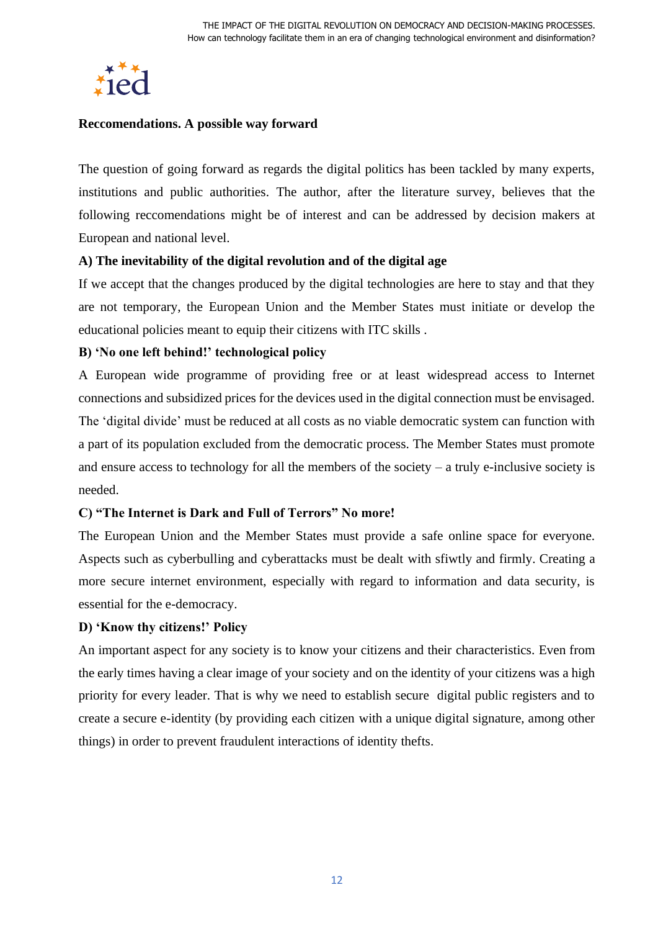

#### <span id="page-11-0"></span>**Reccomendations. A possible way forward**

The question of going forward as regards the digital politics has been tackled by many experts, institutions and public authorities. The author, after the literature survey, believes that the following reccomendations might be of interest and can be addressed by decision makers at European and national level.

# **A) The inevitability of the digital revolution and of the digital age**

If we accept that the changes produced by the digital technologies are here to stay and that they are not temporary, the European Union and the Member States must initiate or develop the educational policies meant to equip their citizens with ITC skills .

# **B) 'No one left behind!' technological policy**

A European wide programme of providing free or at least widespread access to Internet connections and subsidized prices for the devices used in the digital connection must be envisaged. The 'digital divide' must be reduced at all costs as no viable democratic system can function with a part of its population excluded from the democratic process. The Member States must promote and ensure access to technology for all the members of the society – a truly e-inclusive society is needed.

# **C) "The Internet is Dark and Full of Terrors" No more!**

The European Union and the Member States must provide a safe online space for everyone. Aspects such as cyberbulling and cyberattacks must be dealt with sfiwtly and firmly. Creating a more secure internet environment, especially with regard to information and data security, is essential for the e-democracy.

# **D) 'Know thy citizens!' Policy**

An important aspect for any society is to know your citizens and their characteristics. Even from the early times having a clear image of your society and on the identity of your citizens was a high priority for every leader. That is why we need to establish secure digital public registers and to create a secure e-identity (by providing each citizen with a unique digital signature, among other things) in order to prevent fraudulent interactions of identity thefts.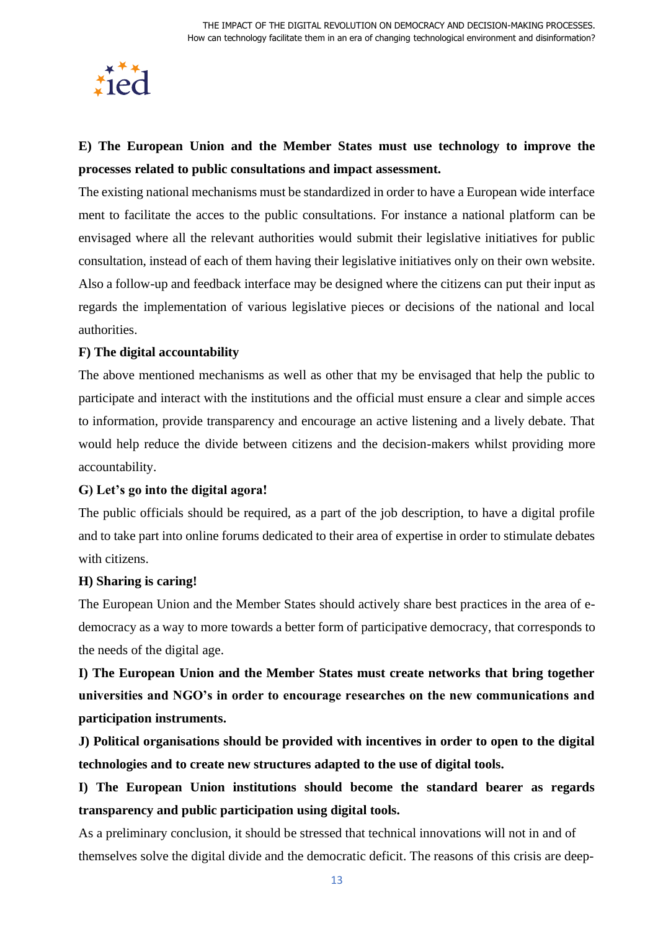

# **E) The European Union and the Member States must use technology to improve the processes related to public consultations and impact assessment.**

The existing national mechanisms must be standardized in order to have a European wide interface ment to facilitate the acces to the public consultations. For instance a national platform can be envisaged where all the relevant authorities would submit their legislative initiatives for public consultation, instead of each of them having their legislative initiatives only on their own website. Also a follow-up and feedback interface may be designed where the citizens can put their input as regards the implementation of various legislative pieces or decisions of the national and local authorities.

# **F) The digital accountability**

The above mentioned mechanisms as well as other that my be envisaged that help the public to participate and interact with the institutions and the official must ensure a clear and simple acces to information, provide transparency and encourage an active listening and a lively debate. That would help reduce the divide between citizens and the decision-makers whilst providing more accountability.

#### **G) Let's go into the digital agora!**

The public officials should be required, as a part of the job description, to have a digital profile and to take part into online forums dedicated to their area of expertise in order to stimulate debates with citizens.

#### **H) Sharing is caring!**

The European Union and the Member States should actively share best practices in the area of edemocracy as a way to more towards a better form of participative democracy, that corresponds to the needs of the digital age.

**I) The European Union and the Member States must create networks that bring together universities and NGO's in order to encourage researches on the new communications and participation instruments.**

**J) Political organisations should be provided with incentives in order to open to the digital technologies and to create new structures adapted to the use of digital tools.**

**I) The European Union institutions should become the standard bearer as regards transparency and public participation using digital tools.**

As a preliminary conclusion, it should be stressed that technical innovations will not in and of themselves solve the digital divide and the democratic deficit. The reasons of this crisis are deep-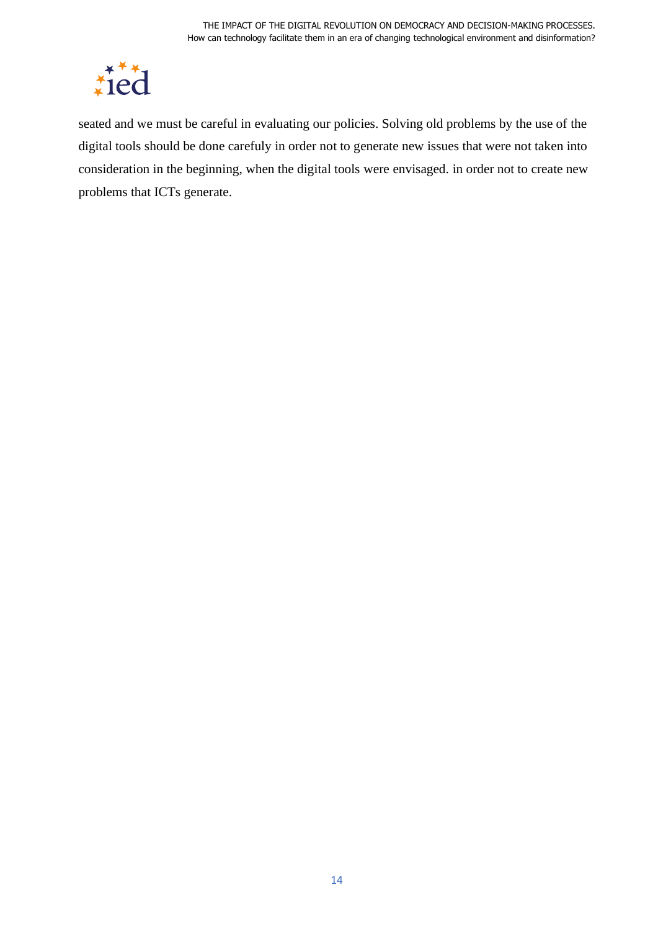

seated and we must be careful in evaluating our policies. Solving old problems by the use of the digital tools should be done carefuly in order not to generate new issues that were not taken into consideration in the beginning, when the digital tools were envisaged. in order not to create new problems that ICTs generate.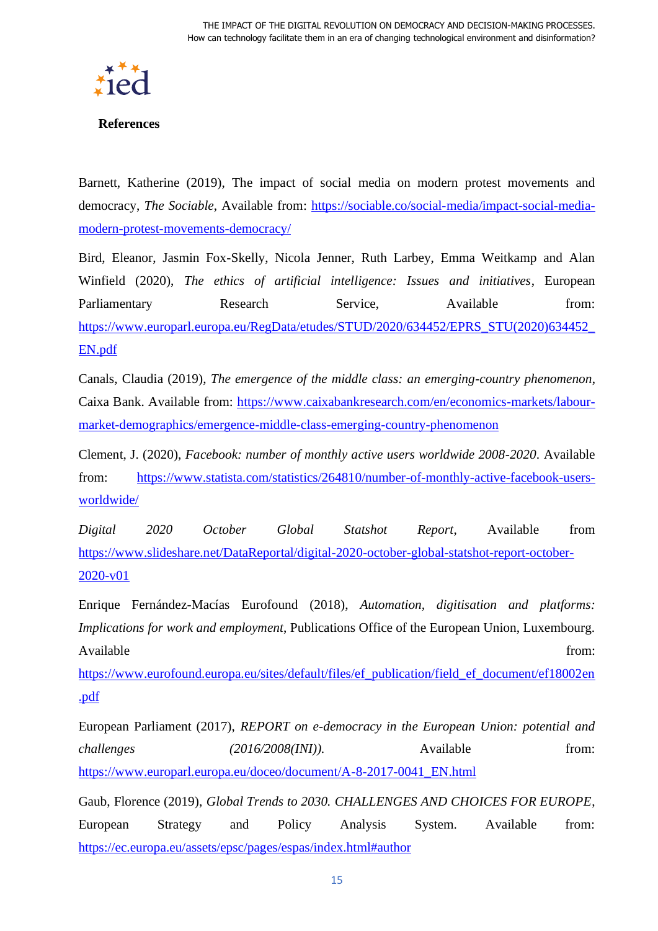

#### <span id="page-14-0"></span>**References**

Barnett, Katherine (2019), The impact of social media on modern protest movements and democracy, *The Sociable*, Available from: [https://sociable.co/social-media/impact-social-media](https://sociable.co/social-media/impact-social-media-modern-protest-movements-democracy/)[modern-protest-movements-democracy/](https://sociable.co/social-media/impact-social-media-modern-protest-movements-democracy/)

Bird, Eleanor, Jasmin Fox-Skelly, Nicola Jenner, Ruth Larbey, Emma Weitkamp and Alan Winfield (2020), *The ethics of artificial intelligence: Issues and initiatives*, European Parliamentary Research Service, Available from: [https://www.europarl.europa.eu/RegData/etudes/STUD/2020/634452/EPRS\\_STU\(2020\)634452\\_](https://www.europarl.europa.eu/RegData/etudes/STUD/2020/634452/EPRS_STU(2020)634452_EN.pdf) [EN.pdf](https://www.europarl.europa.eu/RegData/etudes/STUD/2020/634452/EPRS_STU(2020)634452_EN.pdf)

Canals, Claudia (2019), *The emergence of the middle class: an emerging-country phenomenon*, Caixa Bank. Available from: [https://www.caixabankresearch.com/en/economics-markets/labour](https://www.caixabankresearch.com/en/economics-markets/labour-market-demographics/emergence-middle-class-emerging-country-phenomenon)[market-demographics/emergence-middle-class-emerging-country-phenomenon](https://www.caixabankresearch.com/en/economics-markets/labour-market-demographics/emergence-middle-class-emerging-country-phenomenon)

Clement, J. (2020), *Facebook: number of monthly active users worldwide 2008-2020*. Available from: [https://www.statista.com/statistics/264810/number-of-monthly-active-facebook-users](https://www.statista.com/statistics/264810/number-of-monthly-active-facebook-users-worldwide/)[worldwide/](https://www.statista.com/statistics/264810/number-of-monthly-active-facebook-users-worldwide/)

*Digital 2020 October Global Statshot Report*, Available from [https://www.slideshare.net/DataReportal/digital-2020-october-global-statshot-report-october-](https://www.slideshare.net/DataReportal/digital-2020-october-global-statshot-report-october-2020-v01)[2020-v01](https://www.slideshare.net/DataReportal/digital-2020-october-global-statshot-report-october-2020-v01)

Enrique Fernández-Macías Eurofound (2018), *Automation, digitisation and platforms: Implications for work and employment*, Publications Office of the European Union, Luxembourg. Available from:  $\blacksquare$ 

[https://www.eurofound.europa.eu/sites/default/files/ef\\_publication/field\\_ef\\_document/ef18002en](https://www.eurofound.europa.eu/sites/default/files/ef_publication/field_ef_document/ef18002en.pdf) [.pdf](https://www.eurofound.europa.eu/sites/default/files/ef_publication/field_ef_document/ef18002en.pdf)

European Parliament (2017), *REPORT on e-democracy in the European Union: potential and challenges (2016/2008(INI)).* Available from: [https://www.europarl.europa.eu/doceo/document/A-8-2017-0041\\_EN.html](https://www.europarl.europa.eu/doceo/document/A-8-2017-0041_EN.html)

Gaub, Florence (2019), *Global Trends to 2030. CHALLENGES AND CHOICES FOR EUROPE*, European Strategy and Policy Analysis System. Available from: <https://ec.europa.eu/assets/epsc/pages/espas/index.html#author>